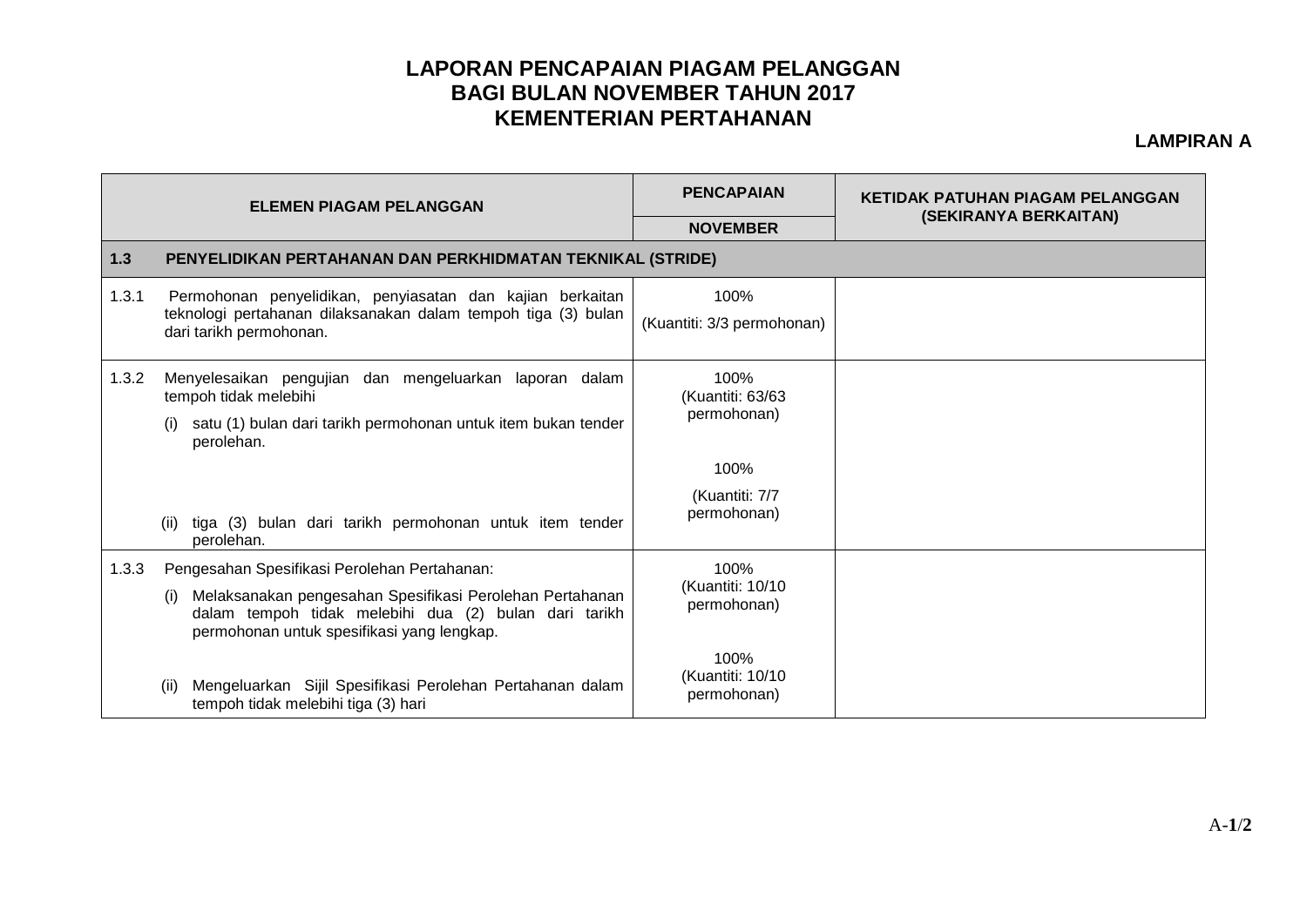## **LAPORAN PENCAPAIAN PIAGAM PELANGGAN BAGI BULAN NOVEMBER TAHUN 2017 KEMENTERIAN PERTAHANAN**

## **LAMPIRAN A**

| <b>ELEMEN PIAGAM PELANGGAN</b> |                                                                                                                                                                                                                        | <b>PENCAPAIAN</b>                       | <b>KETIDAK PATUHAN PIAGAM PELANGGAN</b><br>(SEKIRANYA BERKAITAN) |  |  |  |
|--------------------------------|------------------------------------------------------------------------------------------------------------------------------------------------------------------------------------------------------------------------|-----------------------------------------|------------------------------------------------------------------|--|--|--|
|                                |                                                                                                                                                                                                                        | <b>NOVEMBER</b>                         |                                                                  |  |  |  |
| $1.3$                          | PENYELIDIKAN PERTAHANAN DAN PERKHIDMATAN TEKNIKAL (STRIDE)                                                                                                                                                             |                                         |                                                                  |  |  |  |
| 1.3.1                          | Permohonan penyelidikan, penyiasatan dan kajian berkaitan<br>teknologi pertahanan dilaksanakan dalam tempoh tiga (3) bulan<br>dari tarikh permohonan.                                                                  | 100%<br>(Kuantiti: 3/3 permohonan)      |                                                                  |  |  |  |
| 1.3.2                          | Menyelesaikan pengujian dan mengeluarkan laporan dalam<br>tempoh tidak melebihi<br>satu (1) bulan dari tarikh permohonan untuk item bukan tender<br>perolehan.                                                         | 100%<br>(Kuantiti: 63/63<br>permohonan) |                                                                  |  |  |  |
|                                | tiga (3) bulan dari tarikh permohonan untuk item tender<br>(ii)<br>perolehan.                                                                                                                                          | 100%<br>(Kuantiti: 7/7<br>permohonan)   |                                                                  |  |  |  |
| 1.3.3                          | Pengesahan Spesifikasi Perolehan Pertahanan:<br>Melaksanakan pengesahan Spesifikasi Perolehan Pertahanan<br>(i)<br>dalam tempoh tidak melebihi dua (2) bulan dari tarikh<br>permohonan untuk spesifikasi yang lengkap. | 100%<br>(Kuantiti: 10/10<br>permohonan) |                                                                  |  |  |  |
|                                | Mengeluarkan Sijil Spesifikasi Perolehan Pertahanan dalam<br>(ii)<br>tempoh tidak melebihi tiga (3) hari                                                                                                               | 100%<br>(Kuantiti: 10/10<br>permohonan) |                                                                  |  |  |  |